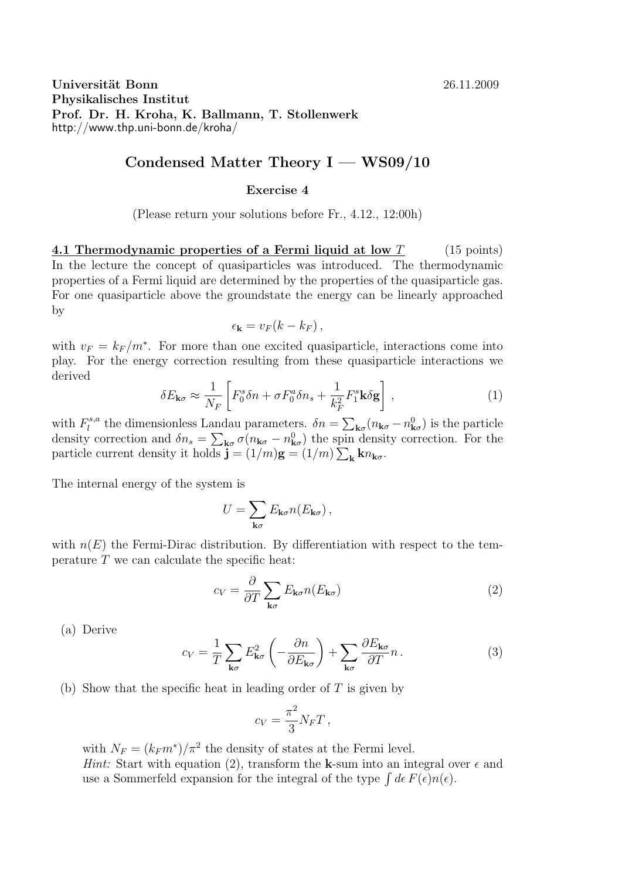**Universität Bonn** 26.11.2009 **Physikalisches Institut Prof. Dr. H. Kroha, K. Ballmann, T. Stollenwerk** http://www.thp.uni-bonn.de/kroha/

## **Condensed Matter Theory I — WS09/10**

## **Exercise 4**

(Please return your solutions before Fr., 4.12., 12:00h)

**4.1 Thermodynamic properties of a Fermi liquid at low** *T* (15 points) In the lecture the concept of quasiparticles was introduced. The thermodynamic properties of a Fermi liquid are determined by the properties of the quasiparticle gas. For one quasiparticle above the groundstate the energy can be linearly approached by

$$
\epsilon_{\mathbf{k}}=v_F(k-k_F)\,,
$$

with  $v_F = k_F/m^*$ . For more than one excited quasiparticle, interactions come into play. For the energy correction resulting from these quasiparticle interactions we derived

$$
\delta E_{\mathbf{k}\sigma} \approx \frac{1}{N_F} \left[ F_0^s \delta n + \sigma F_0^a \delta n_s + \frac{1}{k_F^2} F_1^s \mathbf{k} \delta \mathbf{g} \right],\tag{1}
$$

with  $F_l^{s,a}$ <sup>*l*</sup><sup>8,a</sup></sup> the dimensionless Landau parameters.  $\delta n = \sum_{\mathbf{k}\sigma} (n_{\mathbf{k}\sigma} - n_{\mathbf{k}\sigma}^0)$  is the particle density correction and  $\delta n_s = \sum_{\mathbf{k}\sigma} \sigma(n_{\mathbf{k}\sigma} - n_{\mathbf{k}\sigma}^0)$  the spin density correction. For the particle current density it holds  $\mathbf{j} = (1/m)\mathbf{g} = (1/m)\sum_{\mathbf{k}} k n_{\mathbf{k}\sigma}$ .

The internal energy of the system is

$$
U = \sum_{\mathbf{k}\sigma} E_{\mathbf{k}\sigma} n(E_{\mathbf{k}\sigma}),
$$

with  $n(E)$  the Fermi-Dirac distribution. By differentiation with respect to the temperature  $T$  we can calculate the specific heat:

$$
c_V = \frac{\partial}{\partial T} \sum_{\mathbf{k}\sigma} E_{\mathbf{k}\sigma} n(E_{\mathbf{k}\sigma})
$$
 (2)

(a) Derive

$$
c_V = \frac{1}{T} \sum_{\mathbf{k}\sigma} E_{\mathbf{k}\sigma}^2 \left( -\frac{\partial n}{\partial E_{\mathbf{k}\sigma}} \right) + \sum_{\mathbf{k}\sigma} \frac{\partial E_{\mathbf{k}\sigma}}{\partial T} n \,. \tag{3}
$$

(b) Show that the specific heat in leading order of *T* is given by

$$
c_V = \frac{\pi^2}{3} N_F T \,,
$$

with  $N_F = (k_F m^*)/\pi^2$  the density of states at the Fermi level. *Hint:* Start with equation (2), transform the **k**-sum into an integral over  $\epsilon$  and use a Sommerfeld expansion for the integral of the type  $\int d\epsilon F(\epsilon)n(\epsilon)$ .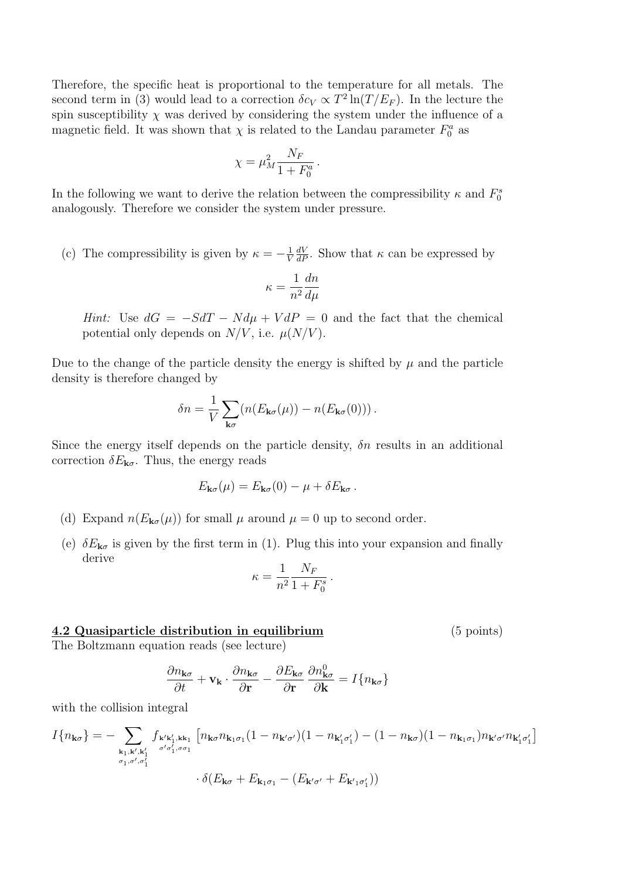Therefore, the specific heat is proportional to the temperature for all metals. The second term in (3) would lead to a correction  $\delta c_V \propto T^2 \ln(T/E_F)$ . In the lecture the spin susceptibility  $\chi$  was derived by considering the system under the influence of a magnetic field. It was shown that  $\chi$  is related to the Landau parameter  $F_0^a$  as

$$
\chi = \mu_M^2 \frac{N_F}{1 + F_0^a} \,.
$$

In the following we want to derive the relation between the compressibility  $\kappa$  and  $F_0^s$ analogously. Therefore we consider the system under pressure.

(c) The compressibility is given by  $\kappa = -\frac{1}{V}$ *V*  $\frac{dV}{dP}$ . Show that *κ* can be expressed by

$$
\kappa = \frac{1}{n^2}\frac{dn}{d\mu}
$$

*Hint:* Use  $dG = -SdT - N d\mu + V dP = 0$  and the fact that the chemical potential only depends on  $N/V$ , i.e.  $\mu(N/V)$ .

Due to the change of the particle density the energy is shifted by  $\mu$  and the particle density is therefore changed by

$$
\delta n = \frac{1}{V} \sum_{\mathbf{k}\sigma} (n(E_{\mathbf{k}\sigma}(\mu)) - n(E_{\mathbf{k}\sigma}(0))).
$$

Since the energy itself depends on the particle density,  $\delta n$  results in an additional correction  $\delta E_{\mathbf{k}\sigma}$ . Thus, the energy reads

$$
E_{\mathbf{k}\sigma}(\mu) = E_{\mathbf{k}\sigma}(0) - \mu + \delta E_{\mathbf{k}\sigma}.
$$

- (d) Expand  $n(E_{\mathbf{k}\sigma}(\mu))$  for small  $\mu$  around  $\mu = 0$  up to second order.
- (e)  $\delta E_{\mathbf{k}\sigma}$  is given by the first term in (1). Plug this into your expansion and finally derive

$$
\kappa = \frac{1}{n^2} \frac{N_F}{1 + F_0^s} \,.
$$

## **4.2 Quasiparticle distribution in equilibrium** (5 points)

The Boltzmann equation reads (see lecture)

$$
\frac{\partial n_{\mathbf{k}\sigma}}{\partial t} + \mathbf{v}_{\mathbf{k}} \cdot \frac{\partial n_{\mathbf{k}\sigma}}{\partial \mathbf{r}} - \frac{\partial E_{\mathbf{k}\sigma}}{\partial \mathbf{r}} \frac{\partial n_{\mathbf{k}\sigma}^0}{\partial \mathbf{k}} = I\{n_{\mathbf{k}\sigma}\}\
$$

with the collision integral

$$
I\{n_{\mathbf{k}\sigma}\} = -\sum_{\substack{\mathbf{k}_1, \mathbf{k}', \mathbf{k}'_1 \\ \sigma_1, \sigma', \sigma_1'}} f_{\mathbf{k}'\mathbf{k}'_1, \mathbf{k}\mathbf{k}_1} \left[n_{\mathbf{k}\sigma} n_{\mathbf{k}_1\sigma_1} (1 - n_{\mathbf{k}'\sigma'}) (1 - n_{\mathbf{k}'_1\sigma'_1}) - (1 - n_{\mathbf{k}\sigma}) (1 - n_{\mathbf{k}_1\sigma_1}) n_{\mathbf{k}'\sigma'} n_{\mathbf{k}'_1\sigma'_1}\right]
$$

$$
\cdot \delta(E_{\mathbf{k}\sigma} + E_{\mathbf{k}_1\sigma_1} - (E_{\mathbf{k}'\sigma'} + E_{\mathbf{k}'_1\sigma'_1}))
$$